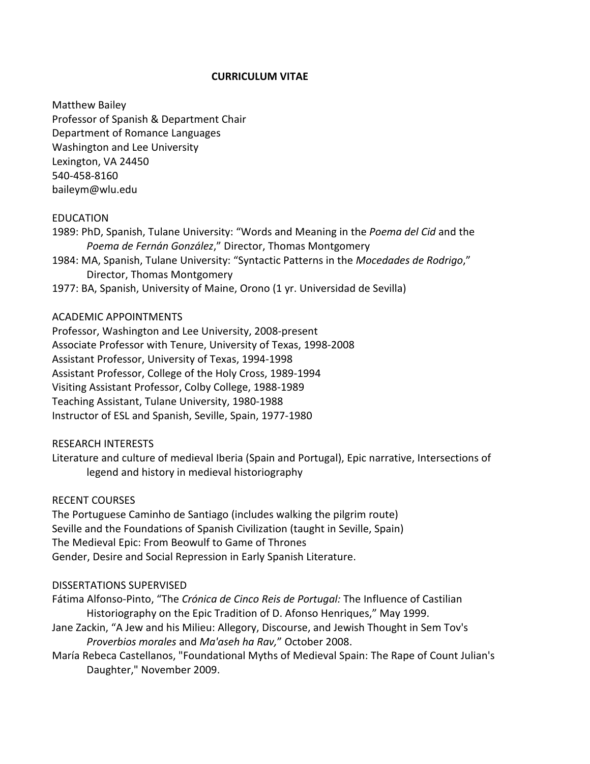## **CURRICULUM VITAE**

Matthew Bailey Professor of Spanish & Department Chair Department of Romance Languages Washington and Lee University Lexington, VA 24450 540-458-8160 baileym@wlu.edu

## EDUCATION

- 1989: PhD, Spanish, Tulane University: "Words and Meaning in the *Poema del Cid* and the *Poema de Fernán González*," Director, Thomas Montgomery
- 1984: MA, Spanish, Tulane University: "Syntactic Patterns in the *Mocedades de Rodrigo*," Director, Thomas Montgomery
- 1977: BA, Spanish, University of Maine, Orono (1 yr. Universidad de Sevilla)

## ACADEMIC APPOINTMENTS

Professor, Washington and Lee University, 2008-present Associate Professor with Tenure, University of Texas, 1998-2008 Assistant Professor, University of Texas, 1994-1998 Assistant Professor, College of the Holy Cross, 1989-1994 Visiting Assistant Professor, Colby College, 1988-1989 Teaching Assistant, Tulane University, 1980-1988 Instructor of ESL and Spanish, Seville, Spain, 1977-1980

RESEARCH INTERESTS

Literature and culture of medieval Iberia (Spain and Portugal), Epic narrative, Intersections of legend and history in medieval historiography

RECENT COURSES

The Portuguese Caminho de Santiago (includes walking the pilgrim route) Seville and the Foundations of Spanish Civilization (taught in Seville, Spain) The Medieval Epic: From Beowulf to Game of Thrones Gender, Desire and Social Repression in Early Spanish Literature.

#### DISSERTATIONS SUPERVISED

Fátima Alfonso-Pinto, "The *Crónica de Cinco Reis de Portugal:* The Influence of Castilian Historiography on the Epic Tradition of D. Afonso Henriques," May 1999.

- Jane Zackin, "A Jew and his Milieu: Allegory, Discourse, and Jewish Thought in Sem Tov's *Proverbios morales* and *Ma'aseh ha Rav,*" October 2008.
- María Rebeca Castellanos, "Foundational Myths of Medieval Spain: The Rape of Count Julian's Daughter," November 2009.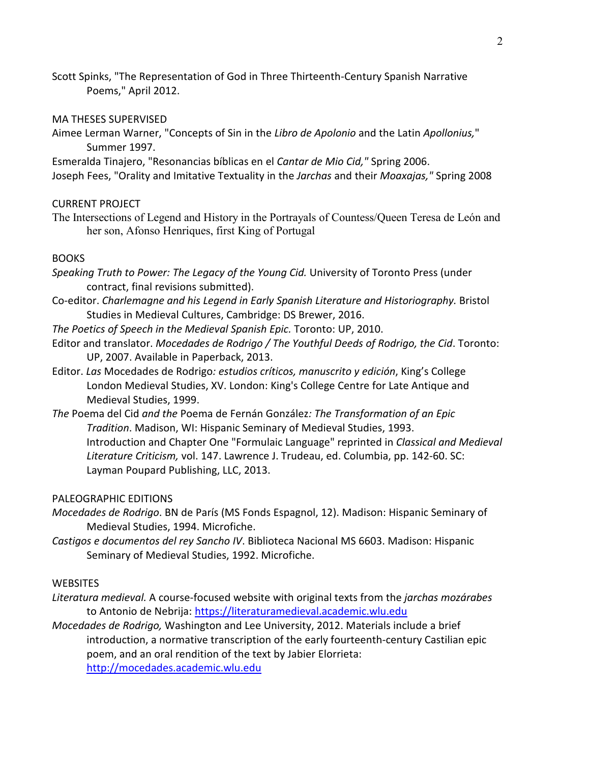Scott Spinks, "The Representation of God in Three Thirteenth-Century Spanish Narrative Poems," April 2012.

#### MA THESES SUPERVISED

Aimee Lerman Warner, "Concepts of Sin in the *Libro de Apolonio* and the Latin *Apollonius,*" Summer 1997.

Esmeralda Tinajero, "Resonancias bíblicas en el *Cantar de Mio Cid,"* Spring 2006.

Joseph Fees, "Orality and Imitative Textuality in the *Jarchas* and their *Moaxajas,"* Spring 2008

## CURRENT PROJECT

The Intersections of Legend and History in the Portrayals of Countess/Queen Teresa de León and her son, Afonso Henriques, first King of Portugal

## **BOOKS**

*Speaking Truth to Power: The Legacy of the Young Cid.* University of Toronto Press (under contract, final revisions submitted).

- Co-editor. *Charlemagne and his Legend in Early Spanish Literature and Historiography.* Bristol Studies in Medieval Cultures, Cambridge: DS Brewer, 2016.
- *The Poetics of Speech in the Medieval Spanish Epic.* Toronto: UP, 2010.
- Editor and translator. *Mocedades de Rodrigo / The Youthful Deeds of Rodrigo, the Cid*. Toronto: UP, 2007. Available in Paperback, 2013.
- Editor. *Las* Mocedades de Rodrigo*: estudios críticos, manuscrito y edición*, King's College London Medieval Studies, XV. London: King's College Centre for Late Antique and Medieval Studies, 1999.
- *The* Poema del Cid *and the* Poema de Fernán González*: The Transformation of an Epic Tradition*. Madison, WI: Hispanic Seminary of Medieval Studies, 1993. Introduction and Chapter One "Formulaic Language" reprinted in *Classical and Medieval Literature Criticism,* vol. 147. Lawrence J. Trudeau, ed. Columbia, pp. 142-60. SC: Layman Poupard Publishing, LLC, 2013.

#### PALEOGRAPHIC EDITIONS

- *Mocedades de Rodrigo*. BN de París (MS Fonds Espagnol, 12). Madison: Hispanic Seminary of Medieval Studies, 1994. Microfiche.
- *Castigos e documentos del rey Sancho IV*. Biblioteca Nacional MS 6603. Madison: Hispanic Seminary of Medieval Studies, 1992. Microfiche.

## **WEBSITES**

- *Literatura medieval.* A course-focused website with original texts from the *jarchas mozárabes* to Antonio de Nebrija: [https://literaturamedieval.academic.wlu.edu](https://literaturamedieval.academic.wlu.edu/)
- *Mocedades de Rodrigo,* Washington and Lee University, 2012. Materials include a brief introduction, a normative transcription of the early fourteenth-century Castilian epic poem, and an oral rendition of the text by Jabier Elorrieta: [http://mocedades.academic.wlu.edu](http://mocedades.academic.wlu.edu/)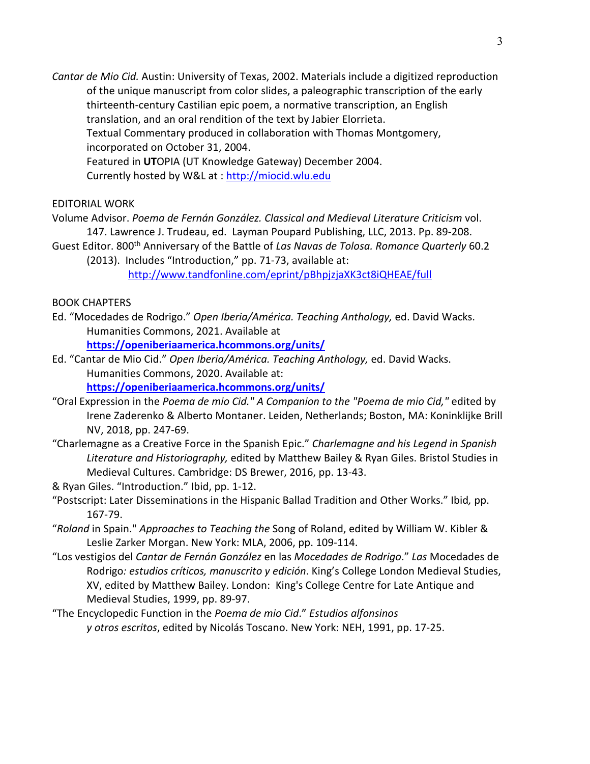*Cantar de Mio Cid.* Austin: University of Texas, 2002. Materials include a digitized reproduction of the unique manuscript from color slides, a paleographic transcription of the early thirteenth-century Castilian epic poem, a normative transcription, an English translation, and an oral rendition of the text by Jabier Elorrieta. Textual Commentary produced in collaboration with Thomas Montgomery, incorporated on October 31, 2004. Featured in **UT**OPIA (UT Knowledge Gateway) December 2004. Currently hosted by W&L at : [http://miocid.wlu.edu](http://miocid.wlu.edu/)

## EDITORIAL WORK

Volume Advisor. *Poema de Fernán González. Classical and Medieval Literature Criticism* vol. 147. Lawrence J. Trudeau, ed. Layman Poupard Publishing, LLC, 2013. Pp. 89-208.

- Guest Editor. 800th Anniversary of the Battle of *Las Navas de Tolosa. Romance Quarterly* 60.2 (2013). Includes "Introduction," pp. 71-73, available at:
	- <http://www.tandfonline.com/eprint/pBhpjzjaXK3ct8iQHEAE/full>

## BOOK CHAPTERS

- Ed. "Mocedades de Rodrigo." *Open Iberia/América. Teaching Anthology,* ed. David Wacks. Humanities Commons, 2021. Available a[t](https://openiberiaamerica.hcommons.org/units/) **<https://openiberiaamerica.hcommons.org/units/>**
- Ed. "Cantar de Mio Cid." *Open Iberia/América. Teaching Anthology,* ed. David Wacks. Humanities Commons, 2020. Available at: **<https://openiberiaamerica.hcommons.org/units/>**
- "Oral Expression in the *Poema de mio Cid." A Companion to the "Poema de mio Cid,"* edited by Irene Zaderenko & Alberto Montaner. Leiden, Netherlands; Boston, MA: Koninklijke Brill NV, 2018, pp. 247-69.
- "Charlemagne as a Creative Force in the Spanish Epic." *Charlemagne and his Legend in Spanish Literature and Historiography,* edited by Matthew Bailey & Ryan Giles. Bristol Studies in Medieval Cultures. Cambridge: DS Brewer, 2016, pp. 13-43.
- & Ryan Giles. "Introduction." Ibid, pp. 1-12.
- "Postscript: Later Disseminations in the Hispanic Ballad Tradition and Other Works." Ibid*,* pp. 167-79.
- "*Roland* in Spain." *Approaches to Teaching the* Song of Roland, edited by William W. Kibler & Leslie Zarker Morgan. New York: MLA, 2006, pp. 109-114.
- "Los vestigios del *Cantar de Fernán González* en las *Mocedades de Rodrigo*." *Las* Mocedades de Rodrigo*: estudios críticos, manuscrito y edición*. King's College London Medieval Studies, XV, edited by Matthew Bailey. London: King's College Centre for Late Antique and Medieval Studies, 1999, pp. 89-97.
- "The Encyclopedic Function in the *Poema de mio Cid*." *Estudios alfonsinos y otros escritos*, edited by Nicolás Toscano. New York: NEH, 1991, pp. 17-25.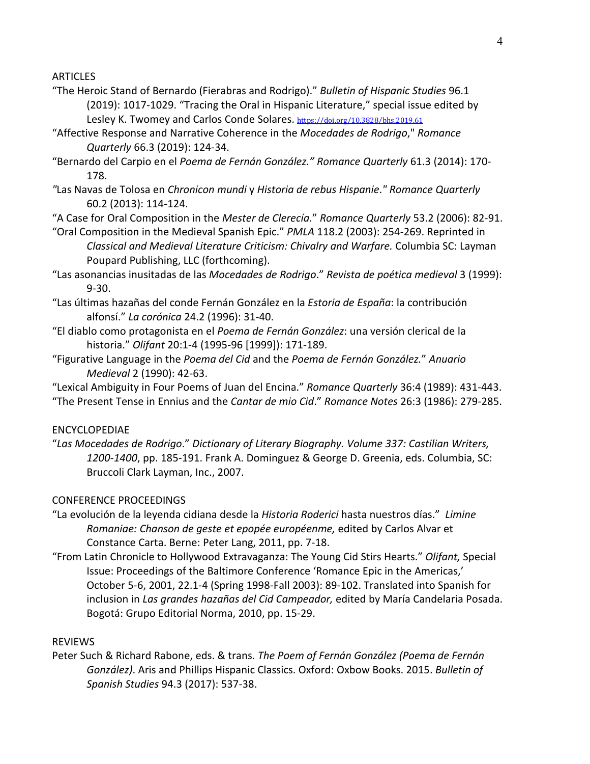ARTICLES

- "The Heroic Stand of Bernardo (Fierabras and Rodrigo)." *Bulletin of Hispanic Studies* 96.1 (2019): 1017-1029. "Tracing the Oral in Hispanic Literature," special issue edited by Lesley K. Twomey and Carlos Conde Solares. <https://doi.org/10.3828/bhs.2019.61>
- "Affective Response and Narrative Coherence in the *Mocedades de Rodrigo*," *Romance Quarterly* 66.3 (2019): 124-34.
- "Bernardo del Carpio en el *Poema de Fernán González." Romance Quarterly* 61.3 (2014): 170- 178.
- *"*Las Navas de Tolosa en *Chronicon mundi* y *Historia de rebus Hispanie*.*" Romance Quarterly* 60.2 (2013): 114-124.
- "A Case for Oral Composition in the *Mester de Clerecía.*" *Romance Quarterly* 53.2 (2006): 82-91.
- "Oral Composition in the Medieval Spanish Epic." *PMLA* 118.2 (2003): 254-269. Reprinted in *Classical and Medieval Literature Criticism: Chivalry and Warfare.* Columbia SC: Layman Poupard Publishing, LLC (forthcoming).
- "Las asonancias inusitadas de las *Mocedades de Rodrigo*." *Revista de poética medieval* 3 (1999): 9-30.
- "Las últimas hazañas del conde Fernán González en la *Estoria de España*: la contribución alfonsí." *La corónica* 24.2 (1996): 31-40.
- "El diablo como protagonista en el *Poema de Fernán González*: una versión clerical de la historia." *Olifant* 20:1-4 (1995-96 [1999]): 171-189.
- "Figurative Language in the *Poema del Cid* and the *Poema de Fernán González.*" *Anuario Medieval* 2 (1990): 42-63.
- "Lexical Ambiguity in Four Poems of Juan del Encina." *Romance Quarterly* 36:4 (1989): 431-443. "The Present Tense in Ennius and the *Cantar de mio Cid*." *Romance Notes* 26:3 (1986): 279-285.

# ENCYCLOPEDIAE

"*Las Mocedades de Rodrigo*." *Dictionary of Literary Biography. Volume 337: Castilian Writers, 1200-1400*, pp. 185-191. Frank A. Dominguez & George D. Greenia, eds. Columbia, SC: Bruccoli Clark Layman, Inc., 2007.

# CONFERENCE PROCEEDINGS

- "La evolución de la leyenda cidiana desde la *Historia Roderici* hasta nuestros días." *Limine Romaniae: Chanson de geste et epopée européenme,* edited by Carlos Alvar et Constance Carta. Berne: Peter Lang, 2011, pp. 7-18.
- "From Latin Chronicle to Hollywood Extravaganza: The Young Cid Stirs Hearts." *Olifant,* Special Issue: Proceedings of the Baltimore Conference 'Romance Epic in the Americas,' October 5-6, 2001, 22.1-4 (Spring 1998-Fall 2003): 89-102. Translated into Spanish for inclusion in *Las grandes hazañas del Cid Campeador,* edited by María Candelaria Posada. Bogotá: Grupo Editorial Norma, 2010, pp. 15-29.

# REVIEWS

Peter Such & Richard Rabone, eds. & trans. *The Poem of Fernán González (Poema de Fernán González)*. Aris and Phillips Hispanic Classics. Oxford: Oxbow Books. 2015. *Bulletin of Spanish Studies* 94.3 (2017): 537-38.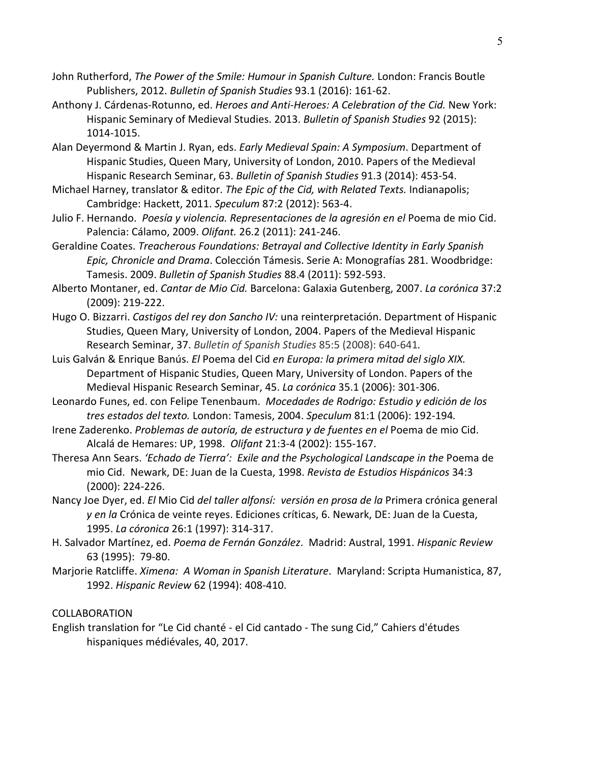- John Rutherford, *The Power of the Smile: Humour in Spanish Culture.* London: Francis Boutle Publishers, 2012. *Bulletin of Spanish Studies* 93.1 (2016): 161-62.
- Anthony J. Cárdenas-Rotunno, ed. *Heroes and Anti-Heroes: A Celebration of the Cid.* New York: Hispanic Seminary of Medieval Studies. 2013. *Bulletin of Spanish Studies* 92 (2015): 1014-1015.
- Alan Deyermond & Martin J. Ryan, eds. *Early Medieval Spain: A Symposium*. Department of Hispanic Studies, Queen Mary, University of London, 2010. Papers of the Medieval Hispanic Research Seminar, 63. *Bulletin of Spanish Studies* 91.3 (2014): 453-54.
- Michael Harney, translator & editor. *The Epic of the Cid, with Related Texts.* Indianapolis; Cambridge: Hackett, 2011. *Speculum* 87:2 (2012): 563-4.
- Julio F. Hernando. *Poesía y violencia. Representaciones de la agresión en el* Poema de mio Cid. Palencia: Cálamo, 2009. *Olifant.* 26.2 (2011): 241-246.
- Geraldine Coates. *Treacherous Foundations: Betrayal and Collective Identity in Early Spanish Epic, Chronicle and Drama*. Colección Támesis. Serie A: Monografías 281. Woodbridge: Tamesis. 2009. *Bulletin of Spanish Studies* 88.4 (2011): 592-593.
- Alberto Montaner, ed. *Cantar de Mio Cid.* Barcelona: Galaxia Gutenberg, 2007. *La corónica* 37:2 (2009): 219-222.
- Hugo O. Bizzarri. *Castigos del rey don Sancho IV:* una reinterpretación. Department of Hispanic Studies, Queen Mary, University of London, 2004. Papers of the Medieval Hispanic Research Seminar, 37. *Bulletin of Spanish Studies* 85:5 (2008): 640-641*.*
- Luis Galván & Enrique Banús. *El* Poema del Cid *en Europa: la primera mitad del siglo XIX.* Department of Hispanic Studies, Queen Mary, University of London. Papers of the Medieval Hispanic Research Seminar, 45. *La corónica* 35.1 (2006): 301-306.
- Leonardo Funes, ed. con Felipe Tenenbaum. *Mocedades de Rodrigo: Estudio y edición de los tres estados del texto.* London: Tamesis, 2004. *Speculum* 81:1 (2006): 192-194*.*
- Irene Zaderenko. *Problemas de autoría, de estructura y de fuentes en el* Poema de mio Cid. Alcalá de Hemares: UP, 1998. *Olifant* 21:3-4 (2002): 155-167.
- Theresa Ann Sears. *'Echado de Tierra': Exile and the Psychological Landscape in the* Poema de mio Cid. Newark, DE: Juan de la Cuesta, 1998. *Revista de Estudios Hispánicos* 34:3 (2000): 224-226.
- Nancy Joe Dyer, ed. *El* Mio Cid *del taller alfonsí: versión en prosa de la* Primera crónica general *y en la* Crónica de veinte reyes. Ediciones críticas, 6. Newark, DE: Juan de la Cuesta, 1995. *La córonica* 26:1 (1997): 314-317.
- H. Salvador Martínez, ed. *Poema de Fernán González*. Madrid: Austral, 1991. *Hispanic Review* 63 (1995): 79-80.
- Marjorie Ratcliffe. *Ximena: A Woman in Spanish Literature*. Maryland: Scripta Humanistica, 87, 1992. *Hispanic Review* 62 (1994): 408-410.

# COLLABORATION

English translation for "Le Cid chanté - el Cid cantado - The sung Cid," Cahiers d'études hispaniques médiévales, 40, 2017.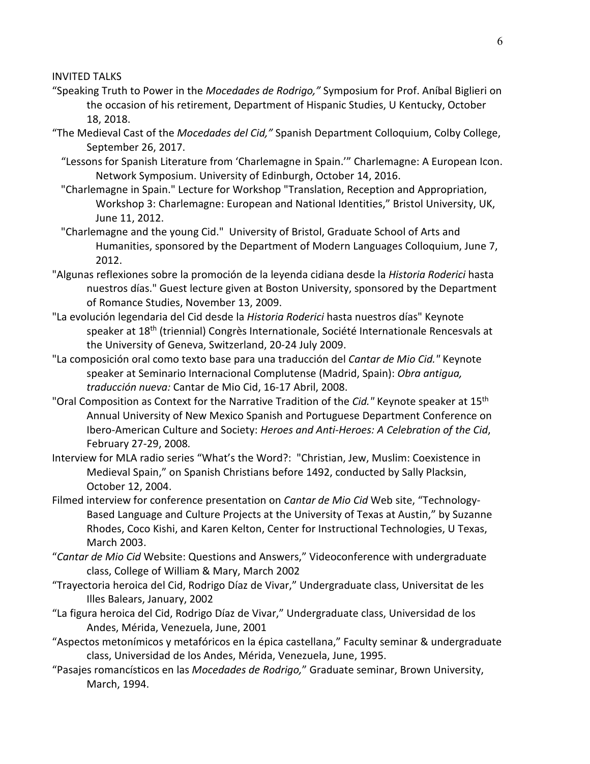INVITED TALKS

- "Speaking Truth to Power in the *Mocedades de Rodrigo,"* Symposium for Prof. Aníbal Biglieri on the occasion of his retirement, Department of Hispanic Studies, U Kentucky, October 18, 2018.
- "The Medieval Cast of the *Mocedades del Cid,"* Spanish Department Colloquium, Colby College, September 26, 2017.
	- "Lessons for Spanish Literature from 'Charlemagne in Spain.'" Charlemagne: A European Icon. Network Symposium. University of Edinburgh, October 14, 2016.
	- "Charlemagne in Spain." Lecture for Workshop "Translation, Reception and Appropriation, Workshop 3: Charlemagne: European and National Identities," Bristol University, UK, June 11, 2012.
	- "Charlemagne and the young Cid." University of Bristol, Graduate School of Arts and Humanities, sponsored by the Department of Modern Languages Colloquium, June 7, 2012.
- "Algunas reflexiones sobre la promoción de la leyenda cidiana desde la *Historia Roderici* hasta nuestros días." Guest lecture given at Boston University, sponsored by the Department of Romance Studies, November 13, 2009.
- "La evolución legendaria del Cid desde la *Historia Roderici* hasta nuestros días" Keynote speaker at 18<sup>th</sup> (triennial) Congrès Internationale, Société Internationale Rencesvals at the University of Geneva, Switzerland, 20-24 July 2009.
- "La composición oral como texto base para una traducción del *Cantar de Mio Cid."* Keynote speaker at Seminario Internacional Complutense (Madrid, Spain): *Obra antigua, traducción nueva:* Cantar de Mio Cid, 16-17 Abril, 2008.
- "Oral Composition as Context for the Narrative Tradition of the *Cid."* Keynote speaker at 15th Annual University of New Mexico Spanish and Portuguese Department Conference on Ibero-American Culture and Society: *Heroes and Anti-Heroes: A Celebration of the Cid*, February 27-29, 2008*.*
- Interview for MLA radio series "What's the Word?: "Christian, Jew, Muslim: Coexistence in Medieval Spain," on Spanish Christians before 1492, conducted by Sally Placksin, October 12, 2004.
- Filmed interview for conference presentation on *Cantar de Mio Cid* Web site, "Technology-Based Language and Culture Projects at the University of Texas at Austin," by Suzanne Rhodes, Coco Kishi, and Karen Kelton, Center for Instructional Technologies, U Texas, March 2003.
- "*Cantar de Mio Cid* Website: Questions and Answers," Videoconference with undergraduate class, College of William & Mary, March 2002
- "Trayectoria heroica del Cid, Rodrigo Díaz de Vivar," Undergraduate class, Universitat de les Illes Balears, January, 2002
- "La figura heroica del Cid, Rodrigo Díaz de Vivar," Undergraduate class, Universidad de los Andes, Mérida, Venezuela, June, 2001
- "Aspectos metonímicos y metafóricos en la épica castellana," Faculty seminar & undergraduate class, Universidad de los Andes, Mérida, Venezuela, June, 1995.
- "Pasajes romancísticos en las *Mocedades de Rodrigo,*" Graduate seminar, Brown University, March, 1994.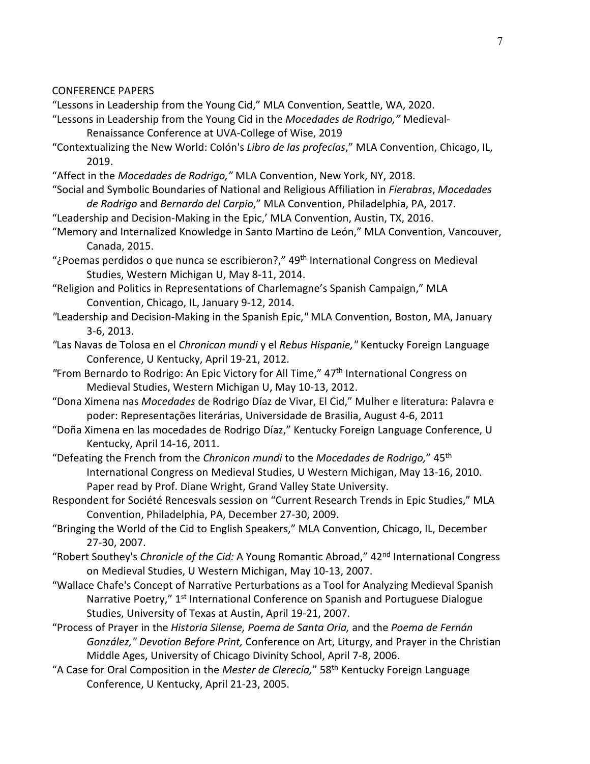#### CONFERENCE PAPERS

- "Lessons in Leadership from the Young Cid," MLA Convention, Seattle, WA, 2020.
- "Lessons in Leadership from the Young Cid in the *Mocedades de Rodrigo,"* Medieval-Renaissance Conference at UVA-College of Wise, 2019
- "Contextualizing the New World: Colón's *Libro de las profecías*," MLA Convention, Chicago, IL, 2019.
- "Affect in the *Mocedades de Rodrigo,"* MLA Convention, New York, NY, 2018.
- "Social and Symbolic Boundaries of National and Religious Affiliation in *Fierabras*, *Mocedades de Rodrigo* and *Bernardo del Carpio*," MLA Convention, Philadelphia, PA, 2017.
- "Leadership and Decision-Making in the Epic,' MLA Convention, Austin, TX, 2016.
- "Memory and Internalized Knowledge in Santo Martino de León," MLA Convention, Vancouver, Canada, 2015.
- "¿Poemas perdidos o que nunca se escribieron?,"  $49<sup>th</sup>$  International Congress on Medieval Studies, Western Michigan U, May 8-11, 2014.
- "Religion and Politics in Representations of Charlemagne's Spanish Campaign," MLA Convention, Chicago, IL, January 9-12, 2014.
- *"*Leadership and Decision-Making in the Spanish Epic,*"* MLA Convention, Boston, MA, January 3-6, 2013.
- *"*Las Navas de Tolosa en el *Chronicon mundi* y el *Rebus Hispanie,"* Kentucky Foreign Language Conference, U Kentucky, April 19-21, 2012.
- "From Bernardo to Rodrigo: An Epic Victory for All Time," 47<sup>th</sup> International Congress on Medieval Studies, Western Michigan U, May 10-13, 2012.
- "Dona Ximena nas *Mocedades* de Rodrigo Díaz de Vivar, El Cid," Mulher e literatura: Palavra e poder: Representações literárias, Universidade de Brasilia, August 4-6, 2011
- "Doña Ximena en las mocedades de Rodrigo Díaz," Kentucky Foreign Language Conference, U Kentucky, April 14-16, 2011.
- "Defeating the French from the *Chronicon mundi* to the *Mocedades de Rodrigo,*" 45th International Congress on Medieval Studies, U Western Michigan, May 13-16, 2010. Paper read by Prof. Diane Wright, Grand Valley State University.
- Respondent for Société Rencesvals session on "Current Research Trends in Epic Studies," MLA Convention, Philadelphia, PA, December 27-30, 2009.
- "Bringing the World of the Cid to English Speakers," MLA Convention, Chicago, IL, December 27-30, 2007.
- "Robert Southey's *Chronicle of the Cid:* A Young Romantic Abroad," 42nd International Congress on Medieval Studies, U Western Michigan, May 10-13, 2007.
- "Wallace Chafe's Concept of Narrative Perturbations as a Tool for Analyzing Medieval Spanish Narrative Poetry," 1<sup>st</sup> International Conference on Spanish and Portuguese Dialogue Studies, University of Texas at Austin, April 19-21, 2007.
- "Process of Prayer in the *Historia Silense, Poema de Santa Oria,* and the *Poema de Fernán González," Devotion Before Print,* Conference on Art, Liturgy, and Prayer in the Christian Middle Ages, University of Chicago Divinity School, April 7-8, 2006.
- "A Case for Oral Composition in the *Mester de Clerecía,*" 58th Kentucky Foreign Language Conference, U Kentucky, April 21-23, 2005.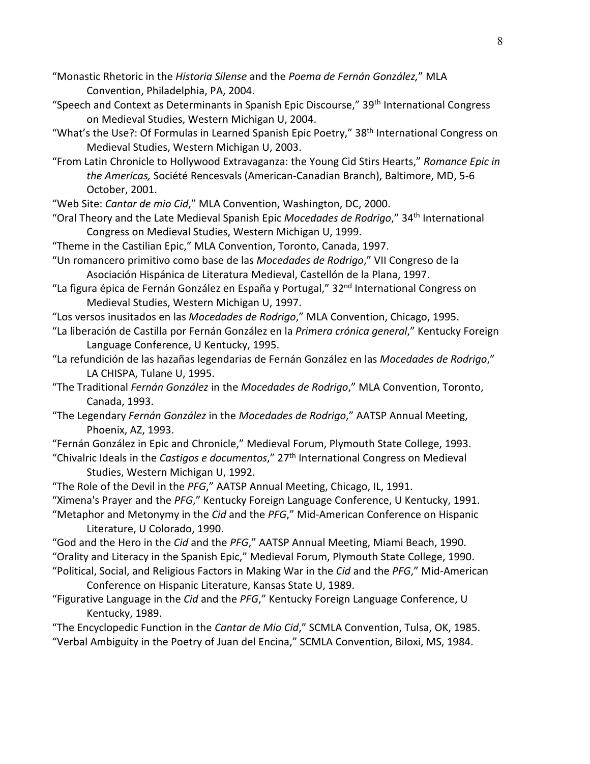- "Monastic Rhetoric in the *Historia Silense* and the *Poema de Fernán González,*" MLA Convention, Philadelphia, PA, 2004.
- "Speech and Context as Determinants in Spanish Epic Discourse," 39<sup>th</sup> International Congress on Medieval Studies, Western Michigan U, 2004.
- "What's the Use?: Of Formulas in Learned Spanish Epic Poetry," 38<sup>th</sup> International Congress on Medieval Studies, Western Michigan U, 2003.
- "From Latin Chronicle to Hollywood Extravaganza: the Young Cid Stirs Hearts," *Romance Epic in the Americas,* Société Rencesvals (American-Canadian Branch), Baltimore, MD, 5-6 October, 2001.

"Web Site: *Cantar de mio Cid*," MLA Convention, Washington, DC, 2000.

- "Oral Theory and the Late Medieval Spanish Epic *Mocedades de Rodrigo*," 34th International Congress on Medieval Studies, Western Michigan U, 1999.
- "Theme in the Castilian Epic," MLA Convention, Toronto, Canada, 1997.
- "Un romancero primitivo como base de las *Mocedades de Rodrigo*," VII Congreso de la Asociación Hispánica de Literatura Medieval, Castellón de la Plana, 1997.
- "La figura épica de Fernán González en España y Portugal," 32<sup>nd</sup> International Congress on Medieval Studies, Western Michigan U, 1997.
- "Los versos inusitados en las *Mocedades de Rodrigo*," MLA Convention, Chicago, 1995.
- "La liberación de Castilla por Fernán González en la *Primera crónica general*," Kentucky Foreign Language Conference, U Kentucky, 1995.
- "La refundición de las hazañas legendarias de Fernán González en las *Mocedades de Rodrigo*," LA CHISPA, Tulane U, 1995.
- "The Traditional *Fernán González* in the *Mocedades de Rodrigo*," MLA Convention, Toronto, Canada, 1993.
- "The Legendary *Fernán González* in the *Mocedades de Rodrigo*," AATSP Annual Meeting, Phoenix, AZ, 1993.
- "Fernán González in Epic and Chronicle," Medieval Forum, Plymouth State College, 1993.
- "Chivalric Ideals in the *Castigos e documentos*," 27th International Congress on Medieval Studies, Western Michigan U, 1992.
- "The Role of the Devil in the *PFG*," AATSP Annual Meeting, Chicago, IL, 1991.
- "Ximena's Prayer and the *PFG*," Kentucky Foreign Language Conference, U Kentucky, 1991.
- "Metaphor and Metonymy in the *Cid* and the *PFG*," Mid-American Conference on Hispanic Literature, U Colorado, 1990.
- "God and the Hero in the *Cid* and the *PFG*," AATSP Annual Meeting, Miami Beach, 1990. "Orality and Literacy in the Spanish Epic," Medieval Forum, Plymouth State College, 1990.
- "Political, Social, and Religious Factors in Making War in the *Cid* and the *PFG*," Mid-American Conference on Hispanic Literature, Kansas State U, 1989.
- "Figurative Language in the *Cid* and the *PFG*," Kentucky Foreign Language Conference, U Kentucky, 1989.
- "The Encyclopedic Function in the *Cantar de Mio Cid*," SCMLA Convention, Tulsa, OK, 1985. "Verbal Ambiguity in the Poetry of Juan del Encina," SCMLA Convention, Biloxi, MS, 1984.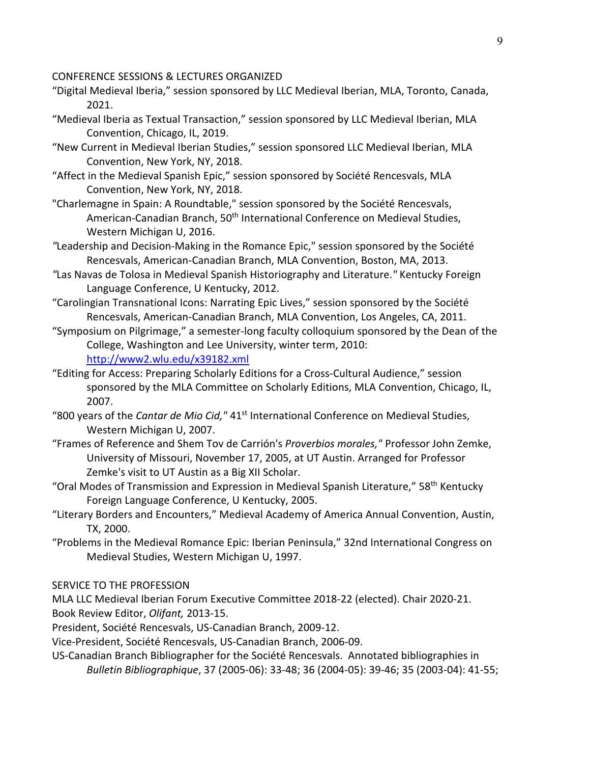CONFERENCE SESSIONS & LECTURES ORGANIZED

- "Digital Medieval Iberia," session sponsored by LLC Medieval Iberian, MLA, Toronto, Canada, 2021.
- "Medieval Iberia as Textual Transaction," session sponsored by LLC Medieval Iberian, MLA Convention, Chicago, IL, 2019.
- "New Current in Medieval Iberian Studies," session sponsored LLC Medieval Iberian, MLA Convention, New York, NY, 2018.
- "Affect in the Medieval Spanish Epic," session sponsored by Société Rencesvals, MLA Convention, New York, NY, 2018.
- "Charlemagne in Spain: A Roundtable," session sponsored by the Société Rencesvals, American-Canadian Branch, 50<sup>th</sup> International Conference on Medieval Studies, Western Michigan U, 2016.
- *"*Leadership and Decision-Making in the Romance Epic," session sponsored by the Société Rencesvals, American-Canadian Branch, MLA Convention, Boston, MA, 2013.
- *"*Las Navas de Tolosa in Medieval Spanish Historiography and Literature.*"* Kentucky Foreign Language Conference, U Kentucky, 2012.
- "Carolingian Transnational Icons: Narrating Epic Lives," session sponsored by the Société Rencesvals, American-Canadian Branch, MLA Convention, Los Angeles, CA, 2011.
- "Symposium on Pilgrimage," a semester-long faculty colloquium sponsored by the Dean of the College, Washington and Lee University, winter term, 2010: <http://www2.wlu.edu/x39182.xml>
- "Editing for Access: Preparing Scholarly Editions for a Cross-Cultural Audience," session sponsored by the MLA Committee on Scholarly Editions, MLA Convention, Chicago, IL, 2007.
- "800 years of the *Cantar de Mio Cid,"* 41st International Conference on Medieval Studies, Western Michigan U, 2007.
- "Frames of Reference and Shem Tov de Carrión's *Proverbios morales,"* Professor John Zemke, University of Missouri, November 17, 2005, at UT Austin. Arranged for Professor Zemke's visit to UT Austin as a Big XII Scholar.
- "Oral Modes of Transmission and Expression in Medieval Spanish Literature," 58<sup>th</sup> Kentucky Foreign Language Conference, U Kentucky, 2005.
- "Literary Borders and Encounters," Medieval Academy of America Annual Convention, Austin, TX, 2000.
- "Problems in the Medieval Romance Epic: Iberian Peninsula," 32nd International Congress on Medieval Studies, Western Michigan U, 1997.
- SERVICE TO THE PROFESSION

MLA LLC Medieval Iberian Forum Executive Committee 2018-22 (elected). Chair 2020-21. Book Review Editor, *Olifant,* 2013-15.

President, Société Rencesvals, US-Canadian Branch, 2009-12.

Vice-President, Société Rencesvals, US-Canadian Branch, 2006-09.

US-Canadian Branch Bibliographer for the Société Rencesvals. Annotated bibliographies in *Bulletin Bibliographique*, 37 (2005-06): 33-48; 36 (2004-05): 39-46; 35 (2003-04): 41-55;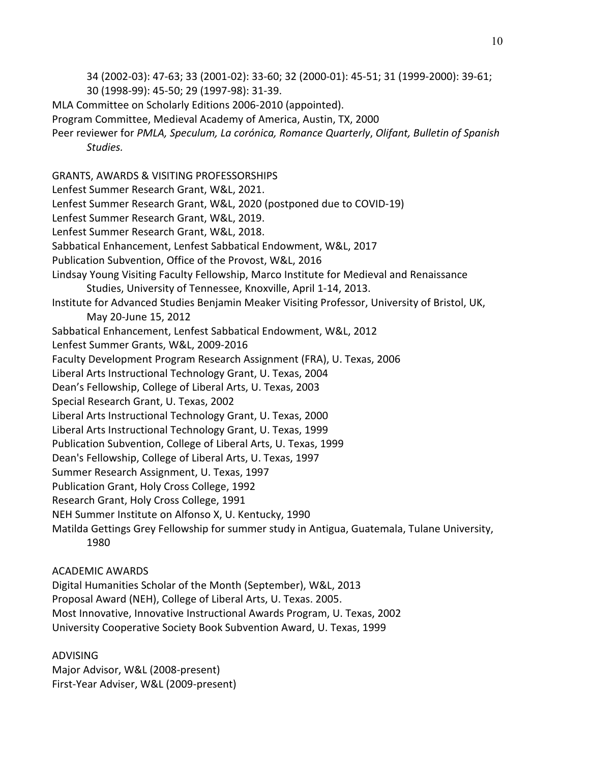34 (2002-03): 47-63; 33 (2001-02): 33-60; 32 (2000-01): 45-51; 31 (1999-2000): 39-61;

- 30 (1998-99): 45-50; 29 (1997-98): 31-39.
- MLA Committee on Scholarly Editions 2006-2010 (appointed).
- Program Committee, Medieval Academy of America, Austin, TX, 2000
- Peer reviewer for *PMLA, Speculum, La corónica, Romance Quarterly*, *Olifant, Bulletin of Spanish Studies.*

GRANTS, AWARDS & VISITING PROFESSORSHIPS

Lenfest Summer Research Grant, W&L, 2021.

- Lenfest Summer Research Grant, W&L, 2020 (postponed due to COVID-19)
- Lenfest Summer Research Grant, W&L, 2019.
- Lenfest Summer Research Grant, W&L, 2018.
- Sabbatical Enhancement, Lenfest Sabbatical Endowment, W&L, 2017
- Publication Subvention, Office of the Provost, W&L, 2016
- Lindsay Young Visiting Faculty Fellowship, Marco Institute for Medieval and Renaissance Studies, University of Tennessee, Knoxville, April 1-14, 2013.
- Institute for Advanced Studies Benjamin Meaker Visiting Professor, University of Bristol, UK, May 20-June 15, 2012
- Sabbatical Enhancement, Lenfest Sabbatical Endowment, W&L, 2012

Lenfest Summer Grants, W&L, 2009-2016

Faculty Development Program Research Assignment (FRA), U. Texas, 2006

Liberal Arts Instructional Technology Grant, U. Texas, 2004

- Dean's Fellowship, College of Liberal Arts, U. Texas, 2003
- Special Research Grant, U. Texas, 2002
- Liberal Arts Instructional Technology Grant, U. Texas, 2000
- Liberal Arts Instructional Technology Grant, U. Texas, 1999
- Publication Subvention, College of Liberal Arts, U. Texas, 1999
- Dean's Fellowship, College of Liberal Arts, U. Texas, 1997
- Summer Research Assignment, U. Texas, 1997
- Publication Grant, Holy Cross College, 1992
- Research Grant, Holy Cross College, 1991
- NEH Summer Institute on Alfonso X, U. Kentucky, 1990
- Matilda Gettings Grey Fellowship for summer study in Antigua, Guatemala, Tulane University, 1980

# ACADEMIC AWARDS

Digital Humanities Scholar of the Month (September), W&L, 2013 Proposal Award (NEH), College of Liberal Arts, U. Texas. 2005. Most Innovative, Innovative Instructional Awards Program, U. Texas, 2002 University Cooperative Society Book Subvention Award, U. Texas, 1999

# ADVISING

Major Advisor, W&L (2008-present) First-Year Adviser, W&L (2009-present)